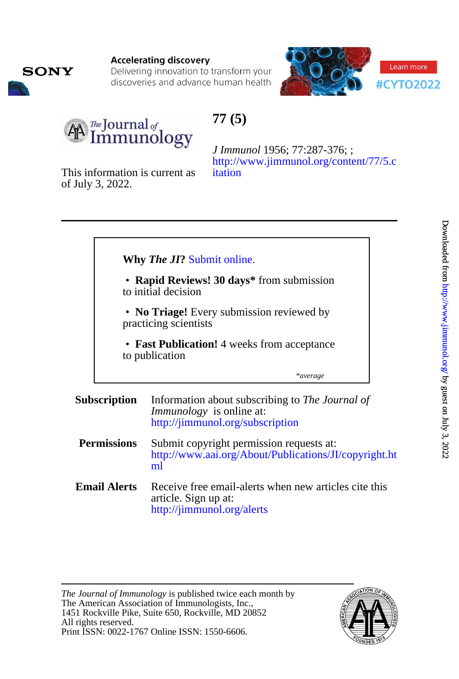

Delivering innovation to transform your discoveries and advance human health





**SONY** 

# **77 (5)**

[itation](http://www.jimmunol.org/content/77/5.citation) [http://www.jimmunol.org/content/77/5.c](http://www.jimmunol.org/content/77/5.citation) *J Immunol* 1956; 77:287-376; ;

of July 3, 2022. This information is current as

|                                                                                                                                                                                                         |                     | Why The JI? Submit online.                                                                                             |
|---------------------------------------------------------------------------------------------------------------------------------------------------------------------------------------------------------|---------------------|------------------------------------------------------------------------------------------------------------------------|
| • Rapid Reviews! 30 days* from submission<br>to initial decision<br>• No Triage! Every submission reviewed by<br>practicing scientists<br>• Fast Publication! 4 weeks from acceptance<br>to publication |                     |                                                                                                                        |
|                                                                                                                                                                                                         |                     |                                                                                                                        |
|                                                                                                                                                                                                         |                     |                                                                                                                        |
|                                                                                                                                                                                                         |                     | *average                                                                                                               |
| <b>Subscription</b>                                                                                                                                                                                     |                     | Information about subscribing to The Journal of<br><i>Immunology</i> is online at:<br>http://jimmunol.org/subscription |
| <b>Permissions</b>                                                                                                                                                                                      |                     | Submit copyright permission requests at:<br>http://www.aai.org/About/Publications/JI/copyright.ht<br>ml                |
|                                                                                                                                                                                                         | <b>Email Alerts</b> | Receive free email-alerts when new articles cite this<br>article. Sign up at:<br>http://jimmunol.org/alerts            |

Print ISSN: 0022-1767 Online ISSN: 1550-6606. All rights reserved. 1451 Rockville Pike, Suite 650, Rockville, MD 20852 The American Association of Immunologists, Inc., *The Journal of Immunology* is published twice each month by

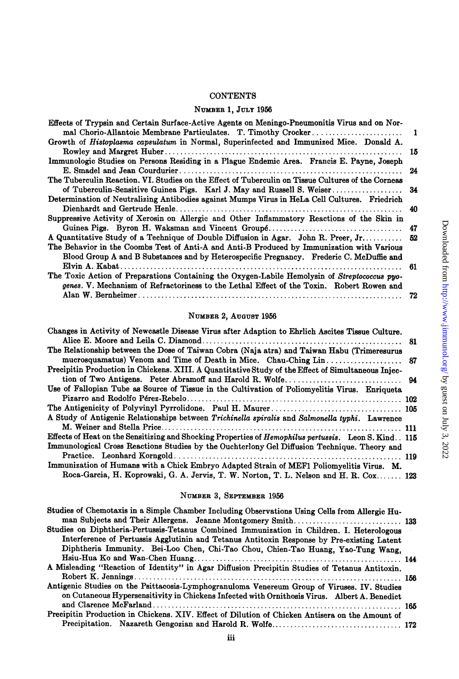#### **CONTENTS**

### **N~MEE~ 1, JULY** 1956

| Effects of Trypsin and Certain Surface-Active Agents on Meningo-Pneumonitis Virus and on Nor-<br>mal Chorio-Allantoic Membrane Particulates. T. Timothy Crocker | $\blacksquare$ |
|-----------------------------------------------------------------------------------------------------------------------------------------------------------------|----------------|
| Growth of Histoplasma capsulatum in Normal, Superinfected and Immunized Mice. Donald A.                                                                         |                |
|                                                                                                                                                                 | 15             |
| Immunologic Studies on Persons Residing in a Plague Endemic Area. Francis E. Payne, Joseph                                                                      |                |
|                                                                                                                                                                 | 24             |
| The Tuberculin Reaction, VI. Studies on the Effect of Tuberculin on Tissue Cultures of the Corneas                                                              |                |
| of Tuberculin-Sensitive Guinea Pigs. Karl J. May and Russell S. Weiser                                                                                          | -34            |
| Determination of Neutralizing Antibodies against Mumps Virus in HeLa Cell Cultures. Friedrich                                                                   |                |
|                                                                                                                                                                 | 40             |
| Suppressive Activity of Xerosin on Allergic and Other Inflammatory Reactions of the Skin in                                                                     |                |
|                                                                                                                                                                 |                |
| A Quantitative Study of a Technique of Double Diffusion in Agar. John R. Preer, Jr 52                                                                           |                |
| The Behavior in the Coombs Test of Anti-A and Anti-B Produced by Immunization with Various                                                                      |                |
| Blood Group A and B Substances and by Heterospecific Pregnancy. Frederic C. McDuffie and                                                                        |                |
|                                                                                                                                                                 |                |
| The Toxic Action of Preparations Containing the Oxygen-Labile Hemolysin of Streptococcus pyo-                                                                   |                |
| genes. V. Mechanism of Refractoriness to the Lethal Effect of the Toxin. Robert Rowen and                                                                       |                |
|                                                                                                                                                                 |                |

### **NUMBER 2, AUGUST** 1956

| Changes in Activity of Newcastle Disease Virus after Adaption to Ehrlich Ascites Tissue Culture.        |  |
|---------------------------------------------------------------------------------------------------------|--|
|                                                                                                         |  |
| The Relationship between the Dose of Taiwan Cobra (Naja atra) and Taiwan Habu (Trimeresurus             |  |
|                                                                                                         |  |
| Precipitin Production in Chickens. XIII. A Quantitative Study of the Effect of Simultaneous Injec-      |  |
|                                                                                                         |  |
| Use of Fallopian Tube as Source of Tissue in the Cultivation of Poliomyelitis Virus. Enriqueta          |  |
|                                                                                                         |  |
|                                                                                                         |  |
| A Study of Antigenic Relationships between Trichinella spiralis and Salmonella typhi. Lawrence          |  |
|                                                                                                         |  |
| Effects of Heat on the Sensitizing and Shocking Properties of Hemophilus pertussis. Leon S. Kind. . 115 |  |
| Immunological Cross Reactions Studies by the Ouchterlony Gel Diffusion Technique. Theory and            |  |
|                                                                                                         |  |
| Immunization of Humans with a Chick Embryo Adapted Strain of MEF1 Poliomyelitis Virus. M.               |  |
| Roca-Garcia, H. Koprowski, G. A. Jervis, T. W. Norton, T. L. Nelson and H. R. Cox 123                   |  |

## **NUMBER 3, SEPTEMBER** 1956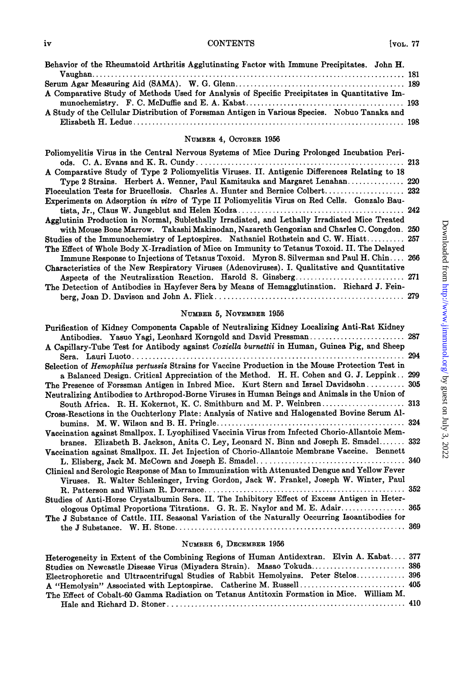## iv CONTENTS [voL. 77

| Behavior of the Rheumatoid Arthritis Agglutinating Factor with Immune Precipitates. John H.   |
|-----------------------------------------------------------------------------------------------|
|                                                                                               |
|                                                                                               |
| A Comparative Study of Methods Used for Analysis of Specific Precipitates in Quantitative Im- |
|                                                                                               |
| A Study of the Cellular Distribution of Forssman Antigen in Various Species. Nobuo Tanaka and |
|                                                                                               |
|                                                                                               |

## **NUMBER 4, OCTOBER 1956**

| Poliomyelitis Virus in the Central Nervous Systems of Mice During Prolonged Incubation Peri-   |  |
|------------------------------------------------------------------------------------------------|--|
| A Comparative Study of Type 2 Poliomyelitis Viruses. II. Antigenic Differences Relating to 18  |  |
| Type 2 Strains. Herbert A. Wenner, Paul Kamitsuka and Margaret Lenahan 220                     |  |
|                                                                                                |  |
| Experiments on Adsorption in vitro of Type II Poliomyelitis Virus on Red Cells. Gonzalo Bau-   |  |
|                                                                                                |  |
| Agglutinin Production in Normal, Sublethally Irradiated, and Lethally Irradiated Mice Treated  |  |
| with Mouse Bone Marrow. Takashi Makinodan, Nazareth Gengozian and Charles C. Congdon. 250      |  |
| Studies of the Immunochemistry of Leptospires. Nathaniel Rothstein and C. W. Hiatt 257         |  |
| The Effect of Whole Body X-Irradiation of Mice on Immunity to Tetanus Toxoid. II. The Delayed  |  |
| Immune Response to Injections of Tetanus Toxoid. Myron S. Silverman and Paul H. Chin 266       |  |
| Characteristics of the New Respiratory Viruses (Adenoviruses). I. Qualitative and Quantitative |  |
|                                                                                                |  |
| The Detection of Antibodies in Hayfever Sera by Means of Hemagglutination. Richard J. Fein-    |  |
|                                                                                                |  |
|                                                                                                |  |

### **NUMBER 5, NOVEMBER 1956**

| Purification of Kidney Components Capable of Neutralizing Kidney Localizing Anti-Rat Kidney      |  |
|--------------------------------------------------------------------------------------------------|--|
| Antibodies. Yasuo Yagi, Leonhard Korngold and David Pressman 287                                 |  |
| A Capillary-Tube Test for Antibody against Coxiella burnettii in Human, Guinea Pig, and Sheep    |  |
|                                                                                                  |  |
| Selection of Hemophilus pertussis Strains for Vaccine Production in the Mouse Protection Test in |  |
| a Balanced Design. Critical Appreciation of the Method. H. H. Cohen and G. J. Leppink 299        |  |
| The Presence of Forssman Antigen in Inbred Mice. Kurt Stern and Israel Davidsohn 305             |  |
| Neutralizing Antibodies to Arthropod-Borne Viruses in Human Beings and Animals in the Union of   |  |
| South Africa. R. H. Kokernot, K. C. Smithburn and M. P. Weinbren 313                             |  |
| Cross-Reactions in the Ouchterlony Plate: Analysis of Native and Halogenated Bovine Serum Al-    |  |
|                                                                                                  |  |
| Vaccination against Smallpox. I. Lyophilized Vaccinia Virus from Infected Chorio-Allantoic Mem-  |  |
| branes. Elizabeth B. Jackson, Anita C. Ley, Leonard N. Binn and Joseph E. Smadel 332             |  |
| Vaccination against Smallpox. II. Jet Injection of Chorio-Allantoic Membrane Vaccine. Bennett    |  |
|                                                                                                  |  |
| Clinical and Serologic Response of Man to Immunization with Attenuated Dengue and Yellow Fever   |  |
| Viruses. R. Walter Schlesinger, Irving Gordon, Jack W. Frankel, Joseph W. Winter, Paul           |  |
|                                                                                                  |  |
| Studies of Anti-Horse Crystalbumin Sera. II. The Inhibitory Effect of Excess Antigen in Heter-   |  |
| ologous Optimal Proportions Titrations. G. R. E. Naylor and M. E. Adair 365                      |  |
| The J Substance of Cattle. III. Seasonal Variation of the Naturally Occurring Isoantibodies for  |  |
|                                                                                                  |  |

#### **NUMBER 6, DECEMBER 1956**

| Heterogeneity in Extent of the Combining Regions of Human Antidextran. Elvin A. Kabat 377  |  |
|--------------------------------------------------------------------------------------------|--|
| Studies on Newcastle Disease Virus (Miyadera Strain). Masao Tokuda 386                     |  |
| Electrophoretic and Ultracentrifugal Studies of Rabbit Hemolysins. Peter Stelos 396        |  |
|                                                                                            |  |
| The Effect of Cobalt-60 Gamma Radiation on Tetanus Antitoxin Formation in Mice. William M. |  |
|                                                                                            |  |